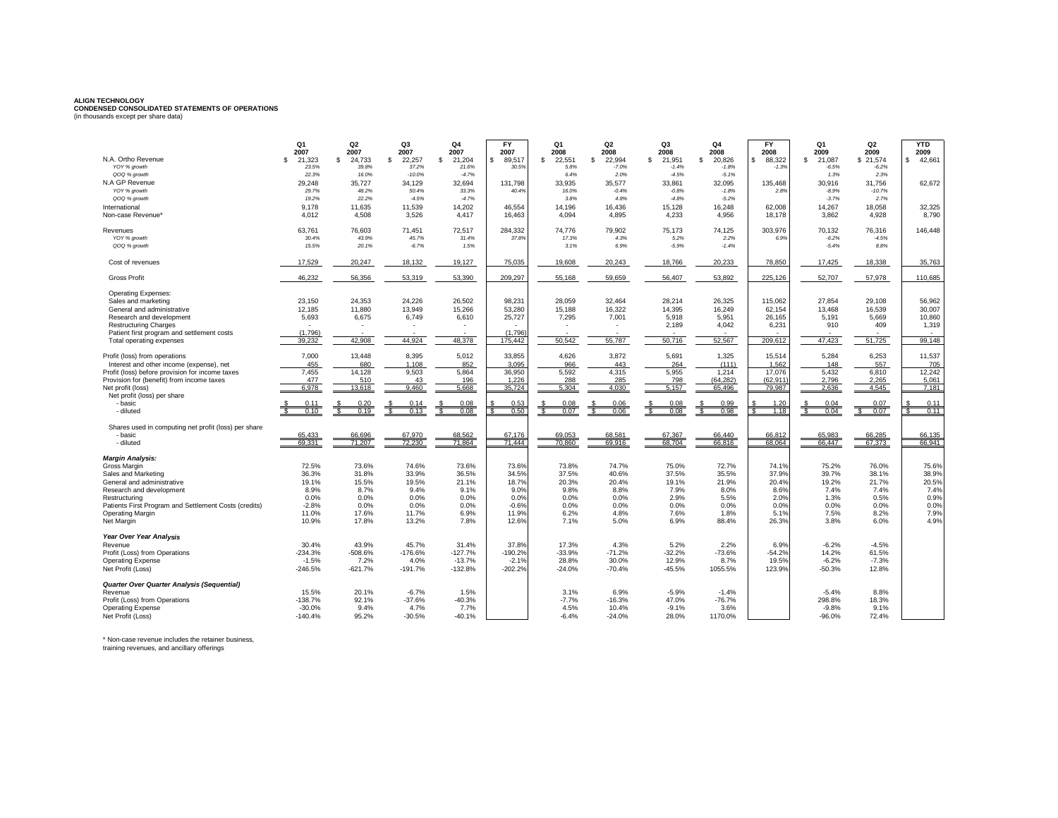## **ALIGN TECHNOLOGY CONDENSED CONSOLIDATED STATEMENTS OF OPERATIONS** (in thousands except per share data)

| N.A. Ortho Revenue                                             | Q <sub>1</sub><br>2007<br>21.323<br>£. | Q <sub>2</sub><br>2007 | Q3<br>2007<br>£. | Q4<br>2007<br>£.         | <b>FY</b><br>2007     | Q <sub>1</sub><br>2008<br>22.551 | Q2<br>2008<br>-S         | Q3<br>2008              | Q4<br>2008<br>\$.  | <b>FY</b><br>2008<br>$\mathbb{S}$ | Q1<br>2009<br>s.<br>21.087 | Q <sub>2</sub><br>2009 | <b>YTD</b><br>2009<br>42,661 |
|----------------------------------------------------------------|----------------------------------------|------------------------|------------------|--------------------------|-----------------------|----------------------------------|--------------------------|-------------------------|--------------------|-----------------------------------|----------------------------|------------------------|------------------------------|
| YOY % growth                                                   | 23.5%                                  | 24.733<br>-S.<br>39.8% | 22.257<br>37.2%  | 21,204<br>21.6%          | 89.517<br>£.<br>30.5% | s.<br>5.8%                       | 22,994<br>$-7.0%$        | \$<br>21.951<br>$-1.4%$ | 20,826<br>$-1.8%$  | 88,322<br>$-1.39$                 | $-6.5%$                    | \$21,574<br>$-6.2%$    |                              |
| QOQ % growth                                                   | 22.3%                                  | 16.0%                  | $-10.0%$         | $-4.7%$                  |                       | 6.4%                             | 2.0%                     | $-4.5%$                 | $-5.1%$            |                                   | 1.3%                       | 2.3%                   |                              |
| N.A GP Revenue                                                 | 29.248                                 | 35.727                 | 34.129           | 32.694                   | 131.798               | 33.935                           | 35.577                   | 33.861                  | 32.095             | 135.468                           | 30.916                     | 31.756                 | 62.672                       |
| YOY % growth                                                   | 29.7%                                  | 48.2%                  | 50.4%            | 33.3%                    | 40.4%                 | 16.0%                            | $-0.4%$                  | $-0.8%$                 | $-1.8%$            | 2.8%                              | $-8.9%$                    | $-10.7%$               |                              |
| QOQ % growth                                                   | 19.2%                                  | 22.2%                  | $-4.5%$          | $-4.7%$                  |                       | 3.8%                             | 4.8%                     | $-4.8%$                 | $-5.2%$            |                                   | $-3.7%$                    | 2.7%                   |                              |
| International<br>Non-case Revenue*                             | 9,178<br>4.012                         | 11,635<br>4.508        | 11,539<br>3,526  | 14,202<br>4,417          | 46,554<br>16,463      | 14,196<br>4.094                  | 16,436<br>4,895          | 15,128<br>4,233         | 16,248<br>4,956    | 62,008<br>18,178                  | 14,267<br>3.862            | 18,058<br>4,928        | 32,325<br>8.790              |
| Revenues                                                       | 63,761<br>30.4%                        | 76,603<br>43.9%        | 71,451<br>45.7%  | 72,517<br>31.4%          | 284,332<br>37.8%      | 74,776<br>17.3%                  | 79,902<br>4.3%           | 75,173<br>5.2%          | 74,125<br>2.2%     | 303,976<br>6.9%                   | 70,132<br>$-6.2%$          | 76,316<br>$-4.5%$      | 146,448                      |
| YOY % growth<br>QOQ % growth                                   | 15.5%                                  | 20.1%                  | $-6.7%$          | 1.5%                     |                       | 3.1%                             | 6.9%                     | $-5.9%$                 | $-1.4%$            |                                   | $-5.4%$                    | 8.8%                   |                              |
| Cost of revenues                                               | 17,529                                 | 20,247                 | 18,132           | 19,127                   | 75,035                | 19,608                           | 20,243                   | 18,766                  | 20,233             | 78,850                            | 17,425                     | 18,338                 | 35,763                       |
| <b>Gross Profit</b>                                            | 46.232                                 | 56,356                 | 53,319           | 53,390                   | 209.297               | 55,168                           | 59,659                   | 56,407                  | 53,892             | 225.126                           | 52,707                     | 57,978                 | 110,685                      |
| Operating Expenses:                                            |                                        |                        |                  |                          |                       |                                  |                          |                         |                    |                                   |                            |                        |                              |
| Sales and marketing                                            | 23,150                                 | 24,353                 | 24,226           | 26,502                   | 98,231                | 28,059                           | 32,464                   | 28,214                  | 26,325             | 115,062                           | 27,854                     | 29,108                 | 56,962                       |
| General and administrative                                     | 12,185                                 | 11,880                 | 13,949           | 15,266                   | 53,280                | 15,188                           | 16,322                   | 14,395                  | 16,249             | 62,154                            | 13,468                     | 16,539                 | 30,007                       |
| Research and development                                       | 5,693                                  | 6,675                  | 6,749            | 6,610                    | 25,727                | 7,295                            | 7,001                    | 5,918                   | 5,951              | 26,165                            | 5,191                      | 5,669                  | 10,860                       |
| <b>Restructuring Charges</b>                                   |                                        |                        |                  | $\overline{\phantom{a}}$ |                       |                                  | $\overline{\phantom{a}}$ | 2,189                   | 4,042              | 6,231                             | 910                        | 409                    | 1,319                        |
| Patient first program and settlement costs                     | (1,796)<br>39,232                      | 42,908                 | 44,924           | 48,378                   | (1,796)<br>175,442    | 50,542                           | 55,787                   | 50,716                  | 52,567             | 209,612                           | 47,423                     | 51,725                 | 99.148                       |
| Total operating expenses                                       |                                        |                        |                  |                          |                       |                                  |                          |                         |                    |                                   |                            |                        |                              |
| Profit (loss) from operations                                  | 7,000                                  | 13,448                 | 8,395            | 5,012                    | 33,855                | 4,626                            | 3,872                    | 5,691                   | 1,325              | 15,514                            | 5,284                      | 6,253                  | 11,537                       |
| Interest and other income (expense), net                       | 455                                    | 680                    | 1.108            | 852                      | 3.095                 | 966                              | 443                      | 264                     | (111)              | 1.562                             | 148                        | 557                    | 705                          |
| Profit (loss) before provision for income taxes                | 7.455                                  | 14.128                 | 9,503            | 5,864                    | 36,950                | 5,592                            | 4,315                    | 5,955                   | 1,214              | 17,076                            | 5.432                      | 6,810                  | 12,242                       |
| Provision for (benefit) from income taxes<br>Net profit (loss) | 477<br>6.978                           | 510<br>13.618          | 43<br>9.460      | 196<br>5.668             | 1.226<br>35,724       | 288<br>5.304                     | 285<br>4.030             | 798<br>5.157            | (64.282)<br>65.496 | (62.911)<br>79.987                | 2.796<br>2.636             | 2.265<br>4.545         | 5.061<br>7.181               |
| Net profit (loss) per share                                    |                                        |                        |                  |                          |                       |                                  |                          |                         |                    |                                   |                            |                        |                              |
| - basic                                                        | 0.1                                    | 0.20                   | 0.14             | 0.08                     | 0.53                  | 0.08                             | 0.06                     | 0.08                    | 0.99               | 120                               | 0.04                       | 0.07                   | 0.11                         |
| - diluted                                                      | 0.10                                   | 0.19                   | 0.13             | 0.08                     | 0.50                  | 0.07                             | 0.06                     | 0.08                    | 0.98               | 1.18                              | Ŝ.<br>0.04                 | 0.07<br>£.             | 0.11                         |
| Shares used in computing net profit (loss) per share           |                                        |                        |                  |                          |                       |                                  |                          |                         |                    |                                   |                            |                        |                              |
| - basic                                                        | 65.433                                 | 66.696                 | 67.970           | 68.562                   | 67.176                | 69.053                           | 68.581                   | 67.367                  | 66.440             | 66.812                            | 65.983                     | 66.285                 | 66.135                       |
| - diluted                                                      | 69.331                                 | 71.207                 | 72.230           | 71.864                   | 71.444                | 70.860                           | 69.916                   | 68.704                  | 66.816             | 68.064                            | 66.447                     | 67.373                 | 66.941                       |
| <b>Margin Analysis:</b>                                        |                                        |                        |                  |                          |                       |                                  |                          |                         |                    |                                   |                            |                        |                              |
| Gross Margin                                                   | 72.5%                                  | 73.6%                  | 74.6%            | 73.6%                    | 73.6%                 | 73.8%                            | 74.7%                    | 75.0%                   | 72.7%              | 74.1%                             | 75.2%                      | 76.0%                  | 75.6%                        |
| Sales and Marketing                                            | 36.3%                                  | 31.8%                  | 33.9%            | 36.5%                    | 34.5%                 | 37.5%                            | 40.6%                    | 37.5%                   | 35.5%              | 37.9%                             | 39.7%                      | 38.1%                  | 38.9%                        |
| General and administrative                                     | 19.1%<br>8.9%                          | 15.5%<br>8.7%          | 19.5%<br>9.4%    | 21.1%<br>9.1%            | 18.7%<br>9.0%         | 20.3%<br>9.8%                    | 20.4%<br>8.8%            | 19.1%<br>7.9%           | 21.9%<br>8.0%      | 20.4%                             | 19.2%<br>7.4%              | 21.7%<br>7.4%          | 20.5%<br>7.4%                |
| Research and development<br>Restructuring                      | 0.0%                                   | 0.0%                   | 0.0%             | 0.0%                     | 0.0%                  | 0.0%                             | 0.0%                     | 2.9%                    | 5.5%               | 8.6%<br>2.0°                      | 1.3%                       | 0.5%                   | 0.9%                         |
| Patients First Program and Settlement Costs (credits)          | $-2.8%$                                | 0.0%                   | 0.0%             | 0.0%                     | $-0.6%$               | 0.0%                             | 0.0%                     | 0.0%                    | 0.0%               | 0.0%                              | 0.0%                       | 0.0%                   | 0.0%                         |
| Operating Margin                                               | 11.0%                                  | 17.6%                  | 11.7%            | 6.9%                     | 11.9%                 | 6.2%                             | 4.8%                     | 7.6%                    | 1.8%               | 5.1%                              | 7.5%                       | 8.2%                   | 7.9%                         |
| Net Margin                                                     | 10.9%                                  | 17.8%                  | 13.2%            | 7.8%                     | 12.6%                 | 7.1%                             | 5.0%                     | 6.9%                    | 88.4%              | 26.3%                             | 3.8%                       | 6.0%                   | 4.9%                         |
| Year Over Year Analysis                                        |                                        |                        |                  |                          |                       |                                  |                          |                         |                    |                                   |                            |                        |                              |
| Revenue                                                        | 30.4%                                  | 43.9%                  | 45.7%            | 31.4%                    | 37.8%                 | 17.3%                            | 4.3%                     | 5.2%                    | 2.2%               | 6.9%                              | $-6.2%$                    | $-4.5%$                |                              |
| Profit (Loss) from Operations                                  | $-234.3%$                              | -508.6%                | $-176.6%$        | $-127.7%$                | $-190.2%$             | $-33.9%$                         | $-71.2%$                 | $-32.2%$                | $-73.6%$           | $-54.29$                          | 14.2%                      | 61.5%                  |                              |
| <b>Operating Expense</b>                                       | $-1.5%$                                | 7.2%                   | 4.0%             | $-13.7%$                 | $-2.1%$               | 28.8%                            | 30.0%                    | 12.9%                   | 8.7%               | 19.5%                             | $-6.2%$                    | $-7.3%$                |                              |
| Net Profit (Loss)                                              | $-246.5%$                              | $-621.7%$              | $-191.7%$        | $-132.8%$                | $-202.2%$             | $-24.0%$                         | $-70.4%$                 | $-45.5%$                | 1055.5%            | 123.9%                            | $-50.3%$                   | 12.8%                  |                              |
| <b>Quarter Over Quarter Analysis (Sequential)</b>              |                                        |                        |                  |                          |                       |                                  |                          |                         |                    |                                   |                            |                        |                              |
| Revenue                                                        | 15.5%                                  | 20.1%                  | $-6.7%$          | 1.5%                     |                       | 3.1%                             | 6.9%                     | $-5.9%$                 | $-1.4%$            |                                   | $-5.4%$                    | 8.8%                   |                              |
| Profit (Loss) from Operations                                  | $-138.7%$                              | 92.1%                  | $-37.6%$         | $-40.3%$                 |                       | $-7.7%$                          | $-16.3%$                 | 47.0%                   | $-76.7%$           |                                   | 298.8%                     | 18.3%                  |                              |
| <b>Operating Expense</b><br>Net Profit (Loss)                  | $-30.0%$<br>$-140.4%$                  | 9.4%<br>95.2%          | 4.7%<br>$-30.5%$ | 7.7%<br>$-40.1%$         |                       | 4.5%<br>$-6.4%$                  | 10.4%<br>$-24.0%$        | $-9.1%$<br>28.0%        | 3.6%<br>1170.0%    |                                   | $-9.8%$<br>$-96.0%$        | 9.1%<br>72.4%          |                              |
|                                                                |                                        |                        |                  |                          |                       |                                  |                          |                         |                    |                                   |                            |                        |                              |

\* Non-case revenue includes the retainer business,

training revenues, and ancillary offerings